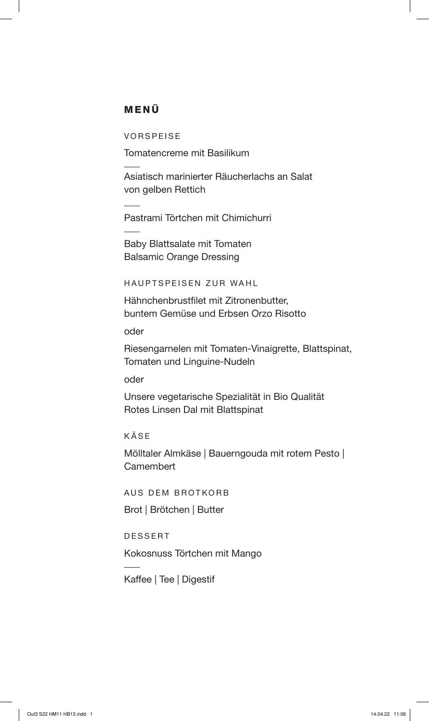## MENÜ

VORSPEISE

Tomatencreme mit Basilikum

Asiatisch marinierter Räucherlachs an Salat von gelben Rettich

Pastrami Törtchen mit Chimichurri

Baby Blattsalate mit Tomaten Balsamic Orange Dressing

HAUPTSPEISEN ZUR WAHL

Hähnchenbrustfilet mit Zitronenbutter, buntem Gemüse und Erbsen Orzo Risotto

oder

Riesengarnelen mit Tomaten-Vinaigrette, Blattspinat, Tomaten und Linguine-Nudeln

oder

Unsere vegetarische Spezialität in Bio Qualität Rotes Linsen Dal mit Blattspinat

KÄSE

Mölltaler Almkäse | Bauerngouda mit rotem Pesto | **Camembert** 

AUS DEM BROTKORB

Brot | Brötchen | Butter

DESSERT

Kokosnuss Törtchen mit Mango

Kaffee | Tee | Digestif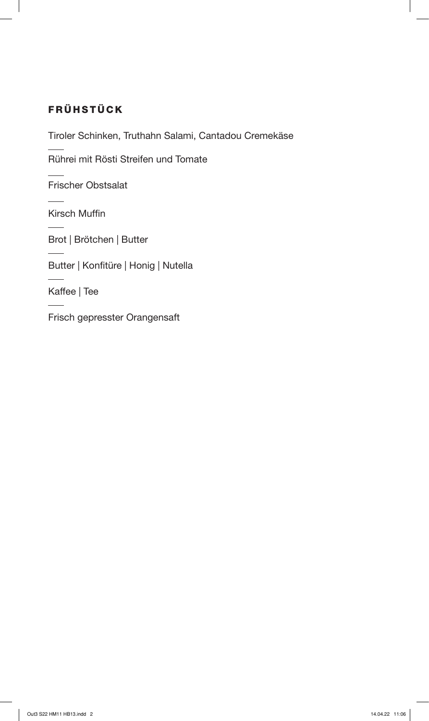## FRÜHSTÜCK

Tiroler Schinken, Truthahn Salami, Cantadou Cremekäse

Rührei mit Rösti Streifen und Tomate

Frischer Obstsalat

Kirsch Muffin

Brot | Brötchen | Butter

Butter | Konfitüre | Honig | Nutella

Kaffee | Tee

Frisch gepresster Orangensaft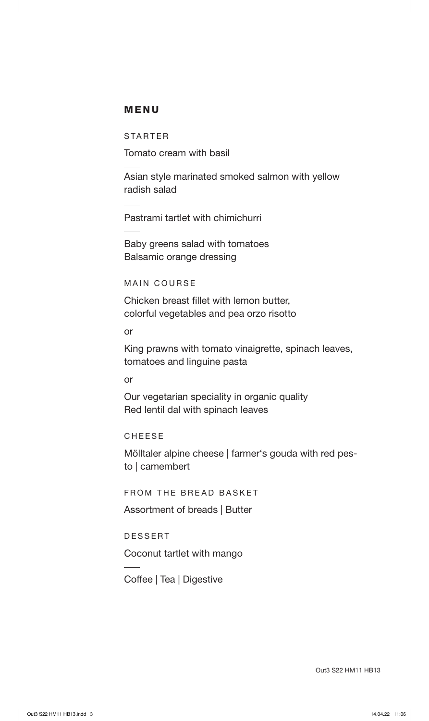## MENU

STARTER

Tomato cream with basil

Asian style marinated smoked salmon with yellow radish salad

Pastrami tartlet with chimichurri

Baby greens salad with tomatoes Balsamic orange dressing

MAIN COURSE

Chicken breast fillet with lemon butter, colorful vegetables and pea orzo risotto

or

King prawns with tomato vinaigrette, spinach leaves, tomatoes and linguine pasta

or

Our vegetarian speciality in organic quality Red lentil dal with spinach leaves

CHEESE

Mölltaler alpine cheese | farmer's gouda with red pesto | camembert

FROM THE BREAD BASKET

Assortment of breads | Butter

DESSERT

Coconut tartlet with mango

Coffee | Tea | Digestive

Out3 S22 HM11 HB13